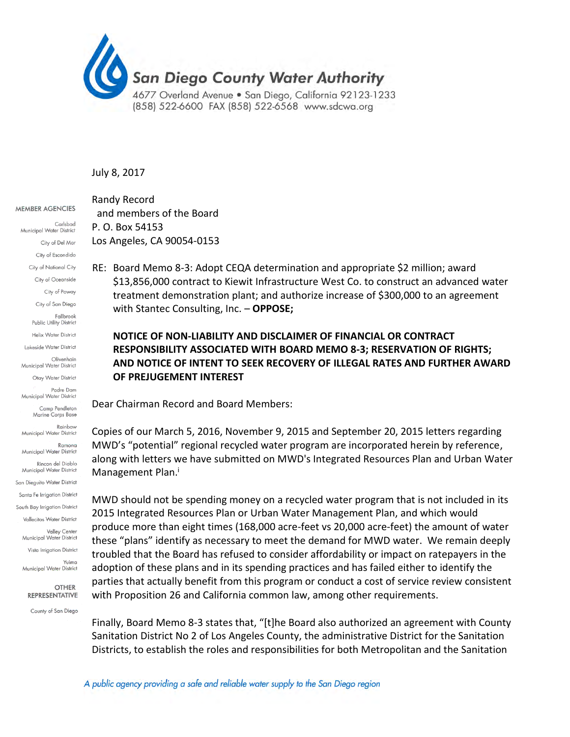

## July 8, 2017

**MEMBER AGENCIES** 

Carlsbad Municipal Water District City of Del Mar City of Escondido City of National City City of Oceanside City of Poway City of San Diego Fallbrook Public Utility District Helix Water District Lakeside Water District Olivenhain Municipal Water District Otay Water District Padre Dam Municipal Water District Camp Pendleton Marine Corps Base Rainhow Municipal Water District Ramona Municipal Water District Rincon del Diablo Municipal Water District San Dieguito Water District Santa Fe Irrigation District South Bay Irrigation District Vallecitos Water District .<br>Valley Center Municipal Water District Vista Irrigation District Yuima Municipal Water District

> **OTHER REPRESENTATIVE**

County of San Diego

Randy Record and members of the Board P. O. Box 54153 Los Angeles, CA 90054‐0153

RE: Board Memo 8-3: Adopt CEQA determination and appropriate \$2 million; award \$13,856,000 contract to Kiewit Infrastructure West Co. to construct an advanced water treatment demonstration plant; and authorize increase of \$300,000 to an agreement with Stantec Consulting, Inc. – **OPPOSE;**

## **NOTICE OF NON-LIABILITY AND DISCLAIMER OF FINANCIAL OR CONTRACT RESPONSIBILITY ASSOCIATED WITH BOARD MEMO 8-3; RESERVATION OF RIGHTS; AND NOTICE OF INTENT TO SEEK RECOVERY OF ILLEGAL RATES AND FURTHER AWARD OF PREJUGEMENT INTEREST**

Dear Chairman Record and Board Members:

Copies of our March 5, 2016, November 9, 2015 and September 20, 2015 letters regarding MWD's "potential" regional recycled water program are incorporated herein by reference, along with letters we have submitted on MWD's Integrated Resources Plan and Urban Water Management Plan.<sup>i</sup>

MWD should not be spending money on a recycled water program that is not included in its 2015 Integrated Resources Plan or Urban Water Management Plan, and which would produce more than eight times (168,000 acre-feet vs 20,000 acre-feet) the amount of water these "plans" identify as necessary to meet the demand for MWD water. We remain deeply troubled that the Board has refused to consider affordability or impact on ratepayers in the adoption of these plans and in its spending practices and has failed either to identify the parties that actually benefit from this program or conduct a cost of service review consistent with Proposition 26 and California common law, among other requirements.

Finally, Board Memo 8-3 states that, "[t]he Board also authorized an agreement with County Sanitation District No 2 of Los Angeles County, the administrative District for the Sanitation Districts, to establish the roles and responsibilities for both Metropolitan and the Sanitation